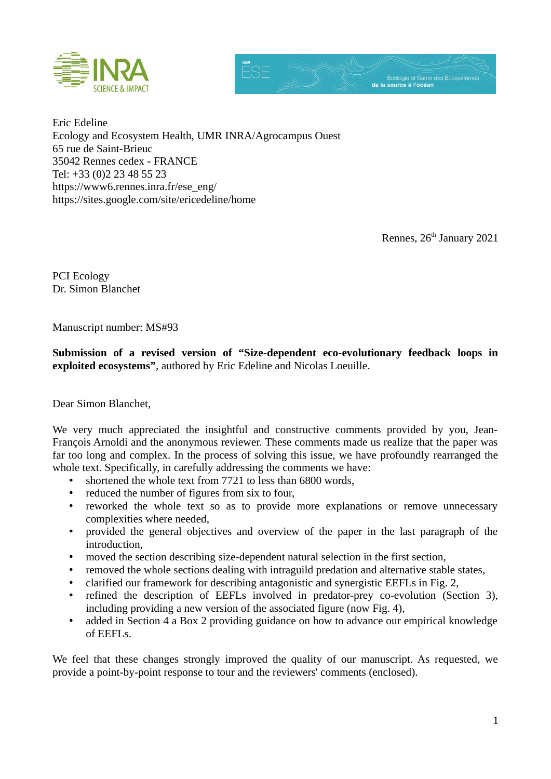

Eric Edeline Ecology and Ecosystem Health, UMR INRA/Agrocampus Ouest 65 rue de Saint-Brieuc 35042 Rennes cedex - FRANCE Tel: +33 (0)2 23 48 55 23 https://www6.rennes.inra.fr/ese\_eng/ https://sites.google.com/site/ericedeline/home

Rennes, 26<sup>th</sup> January 2021

PCI Ecology Dr. Simon Blanchet

Manuscript number: MS#93

**Submission of a revised version of "Size-dependent eco-evolutionary feedback loops in exploited ecosystems"**, authored by Eric Edeline and Nicolas Loeuille.

Dear Simon Blanchet,

We very much appreciated the insightful and constructive comments provided by you, Jean-François Arnoldi and the anonymous reviewer. These comments made us realize that the paper was far too long and complex. In the process of solving this issue, we have profoundly rearranged the whole text. Specifically, in carefully addressing the comments we have:

- shortened the whole text from 7721 to less than 6800 words,
- reduced the number of figures from six to four,
- reworked the whole text so as to provide more explanations or remove unnecessary complexities where needed,
- provided the general objectives and overview of the paper in the last paragraph of the introduction,
- moved the section describing size-dependent natural selection in the first section,
- removed the whole sections dealing with intraguild predation and alternative stable states,
- clarified our framework for describing antagonistic and synergistic EEFLs in Fig. 2,
- refined the description of EEFLs involved in predator-prey co-evolution (Section 3), including providing a new version of the associated figure (now Fig. 4),
- added in Section 4 a Box 2 providing guidance on how to advance our empirical knowledge of EEFLs.

We feel that these changes strongly improved the quality of our manuscript. As requested, we provide a point-by-point response to tour and the reviewers' comments (enclosed).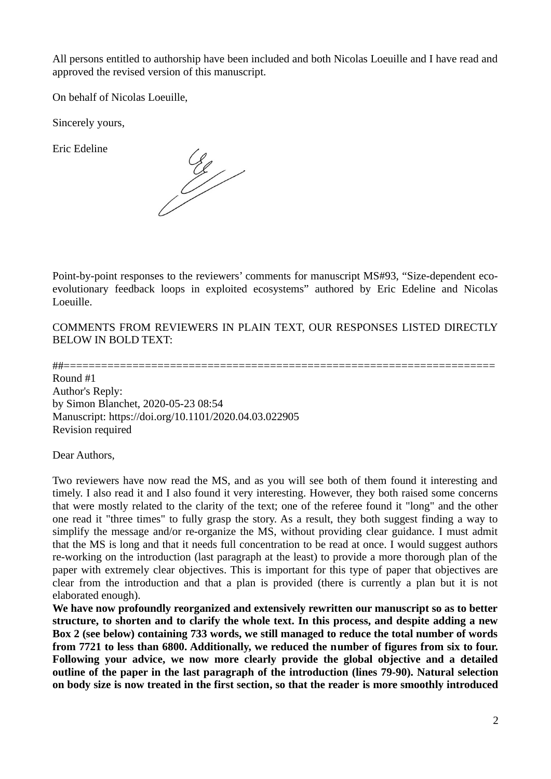All persons entitled to authorship have been included and both Nicolas Loeuille and I have read and approved the revised version of this manuscript.

On behalf of Nicolas Loeuille,

Sincerely yours,

Eric Edeline

 $\frac{c}{c}$ 

Point-by-point responses to the reviewers' comments for manuscript MS#93, "Size-dependent ecoevolutionary feedback loops in exploited ecosystems" authored by Eric Edeline and Nicolas Loeuille.

COMMENTS FROM REVIEWERS IN PLAIN TEXT, OUR RESPONSES LISTED DIRECTLY BELOW IN BOLD TEXT:

##=====================================================================

Round #1 Author's Reply: by Simon Blanchet, 2020-05-23 08:54 Manuscript: https://doi.org/10.1101/2020.04.03.022905 Revision required

Dear Authors,

Two reviewers have now read the MS, and as you will see both of them found it interesting and timely. I also read it and I also found it very interesting. However, they both raised some concerns that were mostly related to the clarity of the text; one of the referee found it "long" and the other one read it "three times" to fully grasp the story. As a result, they both suggest finding a way to simplify the message and/or re-organize the MS, without providing clear guidance. I must admit that the MS is long and that it needs full concentration to be read at once. I would suggest authors re-working on the introduction (last paragraph at the least) to provide a more thorough plan of the paper with extremely clear objectives. This is important for this type of paper that objectives are clear from the introduction and that a plan is provided (there is currently a plan but it is not elaborated enough).

**We have now profoundly reorganized and extensively rewritten our manuscript so as to better structure, to shorten and to clarify the whole text. In this process, and despite adding a new Box 2 (see below) containing 733 words, we still managed to reduce the total number of words from 7721 to less than 6800. Additionally, we reduced the number of figures from six to four. Following your advice, we now more clearly provide the global objective and a detailed outline of the paper in the last paragraph of the introduction (lines 79-90). Natural selection on body size is now treated in the first section, so that the reader is more smoothly introduced**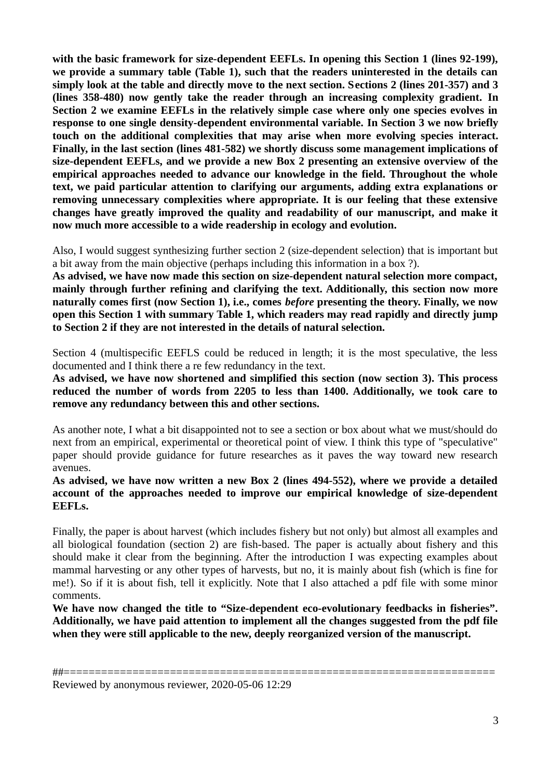**with the basic framework for size-dependent EEFLs. In opening this Section 1 (lines 92-199), we provide a summary table (Table 1), such that the readers uninterested in the details can simply look at the table and directly move to the next section. Sections 2 (lines 201-357) and 3 (lines 358-480) now gently take the reader through an increasing complexity gradient. In Section 2 we examine EEFLs in the relatively simple case where only one species evolves in response to one single density-dependent environmental variable. In Section 3 we now briefly touch on the additional complexities that may arise when more evolving species interact. Finally, in the last section (lines 481-582) we shortly discuss some management implications of size-dependent EEFLs, and we provide a new Box 2 presenting an extensive overview of the empirical approaches needed to advance our knowledge in the field. Throughout the whole text, we paid particular attention to clarifying our arguments, adding extra explanations or removing unnecessary complexities where appropriate. It is our feeling that these extensive changes have greatly improved the quality and readability of our manuscript, and make it now much more accessible to a wide readership in ecology and evolution.**

Also, I would suggest synthesizing further section 2 (size-dependent selection) that is important but a bit away from the main objective (perhaps including this information in a box ?).

**As advised, we have now made this section on size-dependent natural selection more compact, mainly through further refining and clarifying the text. Additionally, this section now more naturally comes first (now Section 1), i.e., comes** *before* **presenting the theory. Finally, we now open this Section 1 with summary Table 1, which readers may read rapidly and directly jump to Section 2 if they are not interested in the details of natural selection.**

Section 4 (multispecific EEFLS could be reduced in length; it is the most speculative, the less documented and I think there a re few redundancy in the text.

**As advised, we have now shortened and simplified this section (now section 3). This process reduced the number of words from 2205 to less than 1400. Additionally, we took care to remove any redundancy between this and other sections.**

As another note, I what a bit disappointed not to see a section or box about what we must/should do next from an empirical, experimental or theoretical point of view. I think this type of "speculative" paper should provide guidance for future researches as it paves the way toward new research avenues.

**As advised, we have now written a new Box 2 (lines 494-552), where we provide a detailed account of the approaches needed to improve our empirical knowledge of size-dependent EEFLs.**

Finally, the paper is about harvest (which includes fishery but not only) but almost all examples and all biological foundation (section 2) are fish-based. The paper is actually about fishery and this should make it clear from the beginning. After the introduction I was expecting examples about mammal harvesting or any other types of harvests, but no, it is mainly about fish (which is fine for me!). So if it is about fish, tell it explicitly. Note that I also attached a pdf file with some minor comments.

**We have now changed the title to "Size-dependent eco-evolutionary feedbacks in fisheries". Additionally, we have paid attention to implement all the changes suggested from the pdf file when they were still applicable to the new, deeply reorganized version of the manuscript.**

Reviewed by anonymous reviewer, 2020-05-06 12:29

<sup>##=====================================================================</sup>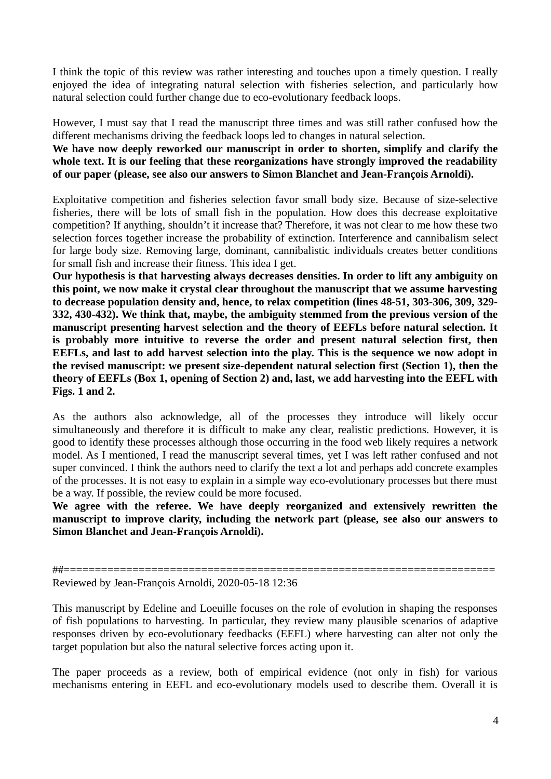I think the topic of this review was rather interesting and touches upon a timely question. I really enjoyed the idea of integrating natural selection with fisheries selection, and particularly how natural selection could further change due to eco-evolutionary feedback loops.

However, I must say that I read the manuscript three times and was still rather confused how the different mechanisms driving the feedback loops led to changes in natural selection.

**We have now deeply reworked our manuscript in order to shorten, simplify and clarify the whole text. It is our feeling that these reorganizations have strongly improved the readability of our paper (please, see also our answers to Simon Blanchet and Jean-François Arnoldi).**

Exploitative competition and fisheries selection favor small body size. Because of size-selective fisheries, there will be lots of small fish in the population. How does this decrease exploitative competition? If anything, shouldn't it increase that? Therefore, it was not clear to me how these two selection forces together increase the probability of extinction. Interference and cannibalism select for large body size. Removing large, dominant, cannibalistic individuals creates better conditions for small fish and increase their fitness. This idea I get.

**Our hypothesis is that harvesting always decreases densities. In order to lift any ambiguity on this point, we now make it crystal clear throughout the manuscript that we assume harvesting to decrease population density and, hence, to relax competition (lines 48-51, 303-306, 309, 329- 332, 430-432). We think that, maybe, the ambiguity stemmed from the previous version of the manuscript presenting harvest selection and the theory of EEFLs before natural selection. It is probably more intuitive to reverse the order and present natural selection first, then EEFLs, and last to add harvest selection into the play. This is the sequence we now adopt in the revised manuscript: we present size-dependent natural selection first (Section 1), then the theory of EEFLs (Box 1, opening of Section 2) and, last, we add harvesting into the EEFL with Figs. 1 and 2.** 

As the authors also acknowledge, all of the processes they introduce will likely occur simultaneously and therefore it is difficult to make any clear, realistic predictions. However, it is good to identify these processes although those occurring in the food web likely requires a network model. As I mentioned, I read the manuscript several times, yet I was left rather confused and not super convinced. I think the authors need to clarify the text a lot and perhaps add concrete examples of the processes. It is not easy to explain in a simple way eco-evolutionary processes but there must be a way. If possible, the review could be more focused.

**We agree with the referee. We have deeply reorganized and extensively rewritten the manuscript to improve clarity, including the network part (please, see also our answers to Simon Blanchet and Jean-François Arnoldi).**

##===================================================================== Reviewed by Jean-François Arnoldi, 2020-05-18 12:36

This manuscript by Edeline and Loeuille focuses on the role of evolution in shaping the responses of fish populations to harvesting. In particular, they review many plausible scenarios of adaptive responses driven by eco-evolutionary feedbacks (EEFL) where harvesting can alter not only the target population but also the natural selective forces acting upon it.

The paper proceeds as a review, both of empirical evidence (not only in fish) for various mechanisms entering in EEFL and eco-evolutionary models used to describe them. Overall it is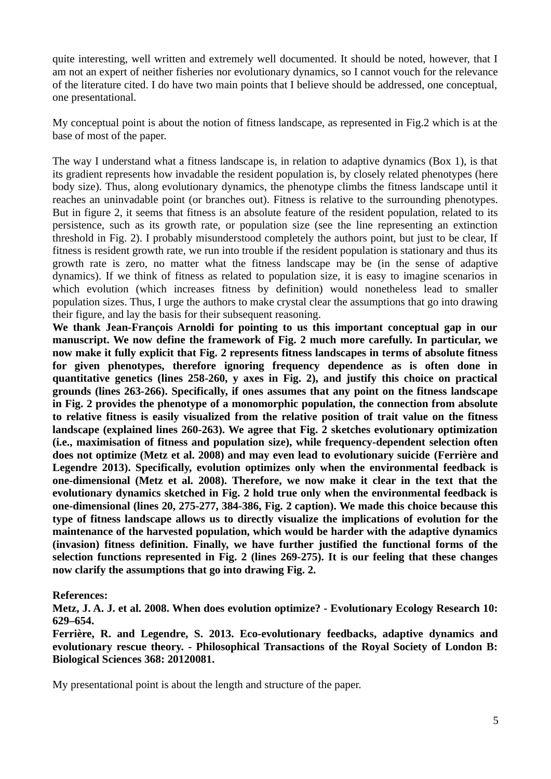quite interesting, well written and extremely well documented. It should be noted, however, that I am not an expert of neither fisheries nor evolutionary dynamics, so I cannot vouch for the relevance of the literature cited. I do have two main points that I believe should be addressed, one conceptual, one presentational.

My conceptual point is about the notion of fitness landscape, as represented in Fig.2 which is at the base of most of the paper.

The way I understand what a fitness landscape is, in relation to adaptive dynamics (Box 1), is that its gradient represents how invadable the resident population is, by closely related phenotypes (here body size). Thus, along evolutionary dynamics, the phenotype climbs the fitness landscape until it reaches an uninvadable point (or branches out). Fitness is relative to the surrounding phenotypes. But in figure 2, it seems that fitness is an absolute feature of the resident population, related to its persistence, such as its growth rate, or population size (see the line representing an extinction threshold in Fig. 2). I probably misunderstood completely the authors point, but just to be clear, If fitness is resident growth rate, we run into trouble if the resident population is stationary and thus its growth rate is zero, no matter what the fitness landscape may be (in the sense of adaptive dynamics). If we think of fitness as related to population size, it is easy to imagine scenarios in which evolution (which increases fitness by definition) would nonetheless lead to smaller population sizes. Thus, I urge the authors to make crystal clear the assumptions that go into drawing their figure, and lay the basis for their subsequent reasoning.

**We thank Jean-François Arnoldi for pointing to us this important conceptual gap in our manuscript. We now define the framework of Fig. 2 much more carefully. In particular, we now make it fully explicit that Fig. 2 represents fitness landscapes in terms of absolute fitness for given phenotypes, therefore ignoring frequency dependence as is often done in quantitative genetics (lines 258-260, y axes in Fig. 2), and justify this choice on practical grounds (lines 263-266). Specifically, if ones assumes that any point on the fitness landscape in Fig. 2 provides the phenotype of a monomorphic population, the connection from absolute to relative fitness is easily visualized from the relative position of trait value on the fitness landscape (explained lines 260-263). We agree that Fig. 2 sketches evolutionary optimization (i.e., maximisation of fitness and population size), while frequency-dependent selection often does not optimize (Metz et al. 2008) and may even lead to evolutionary suicide (Ferrière and Legendre 2013). Specifically, evolution optimizes only when the environmental feedback is one-dimensional (Metz et al. 2008). Therefore, we now make it clear in the text that the evolutionary dynamics sketched in Fig. 2 hold true only when the environmental feedback is one-dimensional (lines 20, 275-277, 384-386, Fig. 2 caption). We made this choice because this type of fitness landscape allows us to directly visualize the implications of evolution for the maintenance of the harvested population, which would be harder with the adaptive dynamics (invasion) fitness definition. Finally, we have further justified the functional forms of the selection functions represented in Fig. 2 (lines 269-275). It is our feeling that these changes now clarify the assumptions that go into drawing Fig. 2.**

## **References:**

**Metz, J. A. J. et al. 2008. When does evolution optimize? - Evolutionary Ecology Research 10: 629–654.**

**Ferrière, R. and Legendre, S. 2013. Eco-evolutionary feedbacks, adaptive dynamics and evolutionary rescue theory. - Philosophical Transactions of the Royal Society of London B: Biological Sciences 368: 20120081.**

My presentational point is about the length and structure of the paper.